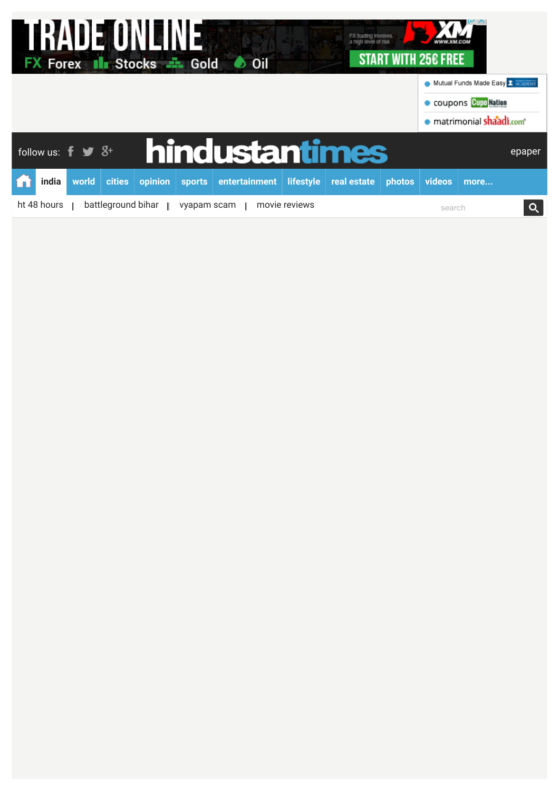| <b>RADE UNLINE</b><br>I<br>FX trading Involves<br>a high level of risk<br>START WITH 256 FREE<br><b>FX Forex III Stocks - Gold + Oil</b> |       |       |               |         |        |                |                  |             |                                             |                          |      |        |
|------------------------------------------------------------------------------------------------------------------------------------------|-------|-------|---------------|---------|--------|----------------|------------------|-------------|---------------------------------------------|--------------------------|------|--------|
|                                                                                                                                          |       |       |               |         |        |                |                  |             | Mutual Funds Made Easy <sup>1</sup> ACADEMY |                          |      |        |
|                                                                                                                                          |       |       |               |         |        |                |                  |             | <b>COUPONS CUPO Nation</b>                  |                          |      |        |
|                                                                                                                                          |       |       |               |         |        |                |                  |             |                                             | · matrimonial shaadi.com |      |        |
| follow us: $\mathbf{f} \bullet \mathbf{S}^+$                                                                                             |       |       |               |         |        | hindustantimes |                  |             |                                             |                          |      | epaper |
|                                                                                                                                          | india | world | <b>cities</b> | opinion | sports | entertainment  | <b>lifestyle</b> | real estate | <b>photos</b>                               | videos                   | more |        |
| battleground bihar<br>ht 48 hours $\parallel$<br>movie reviews<br>vyapam scam                                                            |       |       |               |         |        |                |                  |             | search                                      |                          |      |        |